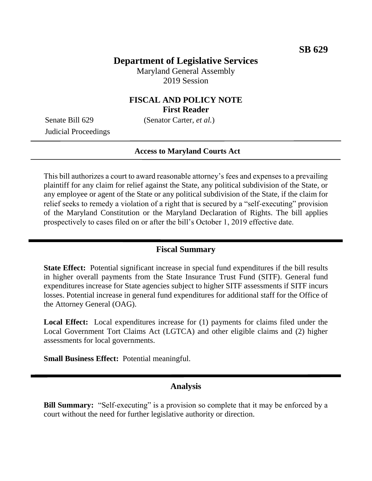# **Department of Legislative Services**

Maryland General Assembly 2019 Session

# **FISCAL AND POLICY NOTE First Reader**

Senate Bill 629 (Senator Carter, *et al.*)

Judicial Proceedings

#### **Access to Maryland Courts Act**

This bill authorizes a court to award reasonable attorney's fees and expenses to a prevailing plaintiff for any claim for relief against the State, any political subdivision of the State, or any employee or agent of the State or any political subdivision of the State, if the claim for relief seeks to remedy a violation of a right that is secured by a "self-executing" provision of the Maryland Constitution or the Maryland Declaration of Rights. The bill applies prospectively to cases filed on or after the bill's October 1, 2019 effective date.

#### **Fiscal Summary**

**State Effect:** Potential significant increase in special fund expenditures if the bill results in higher overall payments from the State Insurance Trust Fund (SITF). General fund expenditures increase for State agencies subject to higher SITF assessments if SITF incurs losses. Potential increase in general fund expenditures for additional staff for the Office of the Attorney General (OAG).

**Local Effect:** Local expenditures increase for (1) payments for claims filed under the Local Government Tort Claims Act (LGTCA) and other eligible claims and (2) higher assessments for local governments.

**Small Business Effect:** Potential meaningful.

## **Analysis**

**Bill Summary:** "Self-executing" is a provision so complete that it may be enforced by a court without the need for further legislative authority or direction.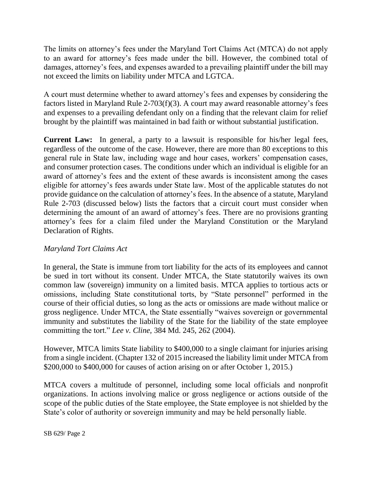The limits on attorney's fees under the Maryland Tort Claims Act (MTCA) do not apply to an award for attorney's fees made under the bill. However, the combined total of damages, attorney's fees, and expenses awarded to a prevailing plaintiff under the bill may not exceed the limits on liability under MTCA and LGTCA.

A court must determine whether to award attorney's fees and expenses by considering the factors listed in Maryland Rule 2-703(f)(3). A court may award reasonable attorney's fees and expenses to a prevailing defendant only on a finding that the relevant claim for relief brought by the plaintiff was maintained in bad faith or without substantial justification.

**Current Law:** In general, a party to a lawsuit is responsible for his/her legal fees, regardless of the outcome of the case. However, there are more than 80 exceptions to this general rule in State law, including wage and hour cases, workers' compensation cases, and consumer protection cases. The conditions under which an individual is eligible for an award of attorney's fees and the extent of these awards is inconsistent among the cases eligible for attorney's fees awards under State law. Most of the applicable statutes do not provide guidance on the calculation of attorney's fees. In the absence of a statute, Maryland Rule 2-703 (discussed below) lists the factors that a circuit court must consider when determining the amount of an award of attorney's fees. There are no provisions granting attorney's fees for a claim filed under the Maryland Constitution or the Maryland Declaration of Rights.

## *Maryland Tort Claims Act*

In general, the State is immune from tort liability for the acts of its employees and cannot be sued in tort without its consent. Under MTCA, the State statutorily waives its own common law (sovereign) immunity on a limited basis. MTCA applies to tortious acts or omissions, including State constitutional torts, by "State personnel" performed in the course of their official duties, so long as the acts or omissions are made without malice or gross negligence. Under MTCA, the State essentially "waives sovereign or governmental immunity and substitutes the liability of the State for the liability of the state employee committing the tort." *Lee v. Cline,* 384 Md. 245, 262 (2004).

However, MTCA limits State liability to \$400,000 to a single claimant for injuries arising from a single incident. (Chapter 132 of 2015 increased the liability limit under MTCA from \$200,000 to \$400,000 for causes of action arising on or after October 1, 2015.)

MTCA covers a multitude of personnel, including some local officials and nonprofit organizations. In actions involving malice or gross negligence or actions outside of the scope of the public duties of the State employee, the State employee is not shielded by the State's color of authority or sovereign immunity and may be held personally liable.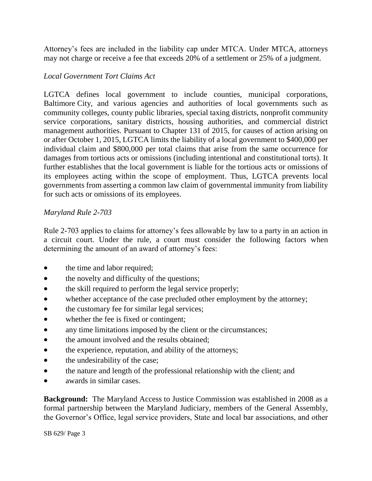Attorney's fees are included in the liability cap under MTCA. Under MTCA, attorneys may not charge or receive a fee that exceeds 20% of a settlement or 25% of a judgment.

## *Local Government Tort Claims Act*

LGTCA defines local government to include counties, municipal corporations, Baltimore City, and various agencies and authorities of local governments such as community colleges, county public libraries, special taxing districts, nonprofit community service corporations, sanitary districts, housing authorities, and commercial district management authorities. Pursuant to Chapter 131 of 2015, for causes of action arising on or after October 1, 2015, LGTCA limits the liability of a local government to \$400,000 per individual claim and \$800,000 per total claims that arise from the same occurrence for damages from tortious acts or omissions (including intentional and constitutional torts). It further establishes that the local government is liable for the tortious acts or omissions of its employees acting within the scope of employment. Thus, LGTCA prevents local governments from asserting a common law claim of governmental immunity from liability for such acts or omissions of its employees.

# *Maryland Rule 2-703*

Rule 2-703 applies to claims for attorney's fees allowable by law to a party in an action in a circuit court. Under the rule, a court must consider the following factors when determining the amount of an award of attorney's fees:

- the time and labor required;
- the novelty and difficulty of the questions;
- the skill required to perform the legal service properly;
- whether acceptance of the case precluded other employment by the attorney;
- the customary fee for similar legal services;
- whether the fee is fixed or contingent;
- any time limitations imposed by the client or the circumstances;
- the amount involved and the results obtained;
- the experience, reputation, and ability of the attorneys;
- the undesirability of the case;
- the nature and length of the professional relationship with the client; and
- awards in similar cases.

**Background:** The Maryland Access to Justice Commission was established in 2008 as a formal partnership between the Maryland Judiciary, members of the General Assembly, the Governor's Office, legal service providers, State and local bar associations, and other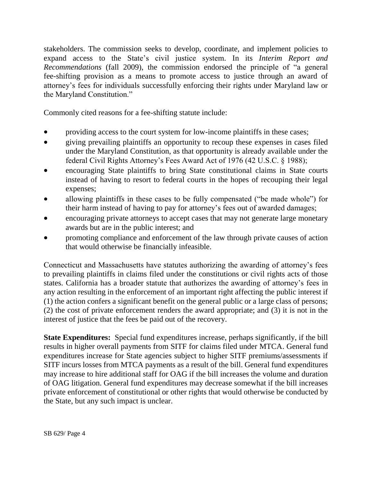stakeholders. The commission seeks to develop, coordinate, and implement policies to expand access to the State's civil justice system. In its *Interim Report and Recommendations* (fall 2009), the commission endorsed the principle of "a general fee-shifting provision as a means to promote access to justice through an award of attorney's fees for individuals successfully enforcing their rights under Maryland law or the Maryland Constitution."

Commonly cited reasons for a fee-shifting statute include:

- providing access to the court system for low-income plaintiffs in these cases;
- giving prevailing plaintiffs an opportunity to recoup these expenses in cases filed under the Maryland Constitution, as that opportunity is already available under the federal Civil Rights Attorney's Fees Award Act of 1976 (42 U.S.C. § 1988);
- encouraging State plaintiffs to bring State constitutional claims in State courts instead of having to resort to federal courts in the hopes of recouping their legal expenses;
- allowing plaintiffs in these cases to be fully compensated ("be made whole") for their harm instead of having to pay for attorney's fees out of awarded damages;
- encouraging private attorneys to accept cases that may not generate large monetary awards but are in the public interest; and
- promoting compliance and enforcement of the law through private causes of action that would otherwise be financially infeasible.

Connecticut and Massachusetts have statutes authorizing the awarding of attorney's fees to prevailing plaintiffs in claims filed under the constitutions or civil rights acts of those states. California has a broader statute that authorizes the awarding of attorney's fees in any action resulting in the enforcement of an important right affecting the public interest if (1) the action confers a significant benefit on the general public or a large class of persons; (2) the cost of private enforcement renders the award appropriate; and (3) it is not in the interest of justice that the fees be paid out of the recovery.

**State Expenditures:** Special fund expenditures increase, perhaps significantly, if the bill results in higher overall payments from SITF for claims filed under MTCA. General fund expenditures increase for State agencies subject to higher SITF premiums/assessments if SITF incurs losses from MTCA payments as a result of the bill. General fund expenditures may increase to hire additional staff for OAG if the bill increases the volume and duration of OAG litigation. General fund expenditures may decrease somewhat if the bill increases private enforcement of constitutional or other rights that would otherwise be conducted by the State, but any such impact is unclear.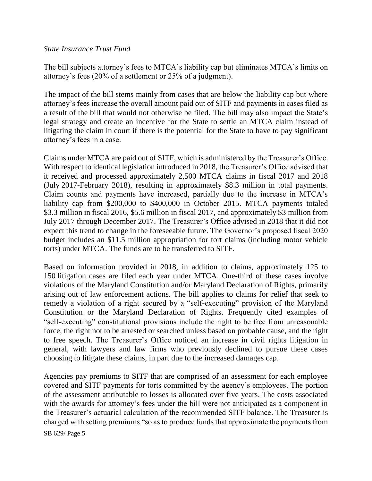#### *State Insurance Trust Fund*

The bill subjects attorney's fees to MTCA's liability cap but eliminates MTCA's limits on attorney's fees (20% of a settlement or 25% of a judgment).

The impact of the bill stems mainly from cases that are below the liability cap but where attorney's fees increase the overall amount paid out of SITF and payments in cases filed as a result of the bill that would not otherwise be filed. The bill may also impact the State's legal strategy and create an incentive for the State to settle an MTCA claim instead of litigating the claim in court if there is the potential for the State to have to pay significant attorney's fees in a case.

Claims under MTCA are paid out of SITF, which is administered by the Treasurer's Office. With respect to identical legislation introduced in 2018, the Treasurer's Office advised that it received and processed approximately 2,500 MTCA claims in fiscal 2017 and 2018 (July 2017-February 2018), resulting in approximately \$8.3 million in total payments. Claim counts and payments have increased, partially due to the increase in MTCA's liability cap from \$200,000 to \$400,000 in October 2015. MTCA payments totaled \$3.3 million in fiscal 2016, \$5.6 million in fiscal 2017, and approximately \$3 million from July 2017 through December 2017. The Treasurer's Office advised in 2018 that it did not expect this trend to change in the foreseeable future. The Governor's proposed fiscal 2020 budget includes an \$11.5 million appropriation for tort claims (including motor vehicle torts) under MTCA. The funds are to be transferred to SITF.

Based on information provided in 2018, in addition to claims, approximately 125 to 150 litigation cases are filed each year under MTCA. One-third of these cases involve violations of the Maryland Constitution and/or Maryland Declaration of Rights, primarily arising out of law enforcement actions. The bill applies to claims for relief that seek to remedy a violation of a right secured by a "self-executing" provision of the Maryland Constitution or the Maryland Declaration of Rights. Frequently cited examples of "self-executing" constitutional provisions include the right to be free from unreasonable force, the right not to be arrested or searched unless based on probable cause, and the right to free speech. The Treasurer's Office noticed an increase in civil rights litigation in general, with lawyers and law firms who previously declined to pursue these cases choosing to litigate these claims, in part due to the increased damages cap.

Agencies pay premiums to SITF that are comprised of an assessment for each employee covered and SITF payments for torts committed by the agency's employees. The portion of the assessment attributable to losses is allocated over five years. The costs associated with the awards for attorney's fees under the bill were not anticipated as a component in the Treasurer's actuarial calculation of the recommended SITF balance. The Treasurer is charged with setting premiums "so as to produce funds that approximate the payments from

SB 629/ Page 5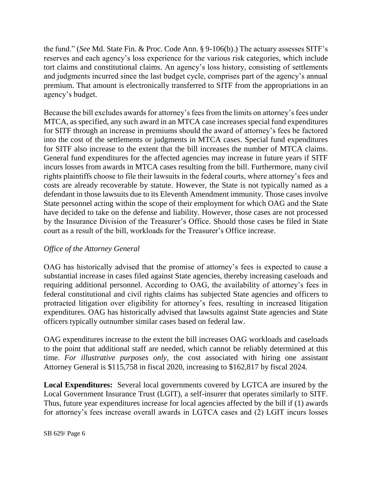the fund." (*See* Md. State Fin. & Proc. Code Ann. § 9-106(b).) The actuary assesses SITF's reserves and each agency's loss experience for the various risk categories, which include tort claims and constitutional claims. An agency's loss history, consisting of settlements and judgments incurred since the last budget cycle, comprises part of the agency's annual premium. That amount is electronically transferred to SITF from the appropriations in an agency's budget.

Because the bill excludes awards for attorney's fees from the limits on attorney's fees under MTCA, as specified, any such award in an MTCA case increases special fund expenditures for SITF through an increase in premiums should the award of attorney's fees be factored into the cost of the settlements or judgments in MTCA cases. Special fund expenditures for SITF also increase to the extent that the bill increases the number of MTCA claims. General fund expenditures for the affected agencies may increase in future years if SITF incurs losses from awards in MTCA cases resulting from the bill. Furthermore, many civil rights plaintiffs choose to file their lawsuits in the federal courts, where attorney's fees and costs are already recoverable by statute. However, the State is not typically named as a defendant in those lawsuits due to its Eleventh Amendment immunity. Those cases involve State personnel acting within the scope of their employment for which OAG and the State have decided to take on the defense and liability. However, those cases are not processed by the Insurance Division of the Treasurer's Office. Should those cases be filed in State court as a result of the bill, workloads for the Treasurer's Office increase.

## *Office of the Attorney General*

OAG has historically advised that the promise of attorney's fees is expected to cause a substantial increase in cases filed against State agencies, thereby increasing caseloads and requiring additional personnel. According to OAG, the availability of attorney's fees in federal constitutional and civil rights claims has subjected State agencies and officers to protracted litigation over eligibility for attorney's fees, resulting in increased litigation expenditures. OAG has historically advised that lawsuits against State agencies and State officers typically outnumber similar cases based on federal law.

OAG expenditures increase to the extent the bill increases OAG workloads and caseloads to the point that additional staff are needed, which cannot be reliably determined at this time. *For illustrative purposes only*, the cost associated with hiring one assistant Attorney General is \$115,758 in fiscal 2020, increasing to \$162,817 by fiscal 2024.

**Local Expenditures:** Several local governments covered by LGTCA are insured by the Local Government Insurance Trust (LGIT), a self-insurer that operates similarly to SITF. Thus, future year expenditures increase for local agencies affected by the bill if (1) awards for attorney's fees increase overall awards in LGTCA cases and (2) LGIT incurs losses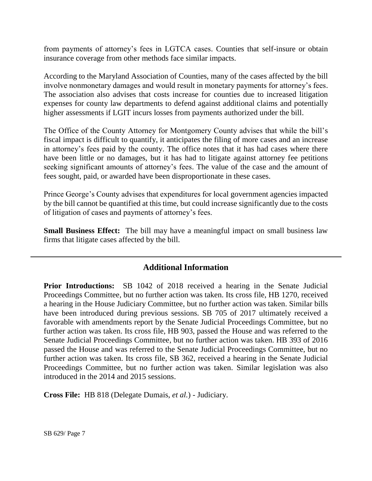from payments of attorney's fees in LGTCA cases. Counties that self-insure or obtain insurance coverage from other methods face similar impacts.

According to the Maryland Association of Counties, many of the cases affected by the bill involve nonmonetary damages and would result in monetary payments for attorney's fees. The association also advises that costs increase for counties due to increased litigation expenses for county law departments to defend against additional claims and potentially higher assessments if LGIT incurs losses from payments authorized under the bill.

The Office of the County Attorney for Montgomery County advises that while the bill's fiscal impact is difficult to quantify, it anticipates the filing of more cases and an increase in attorney's fees paid by the county. The office notes that it has had cases where there have been little or no damages, but it has had to litigate against attorney fee petitions seeking significant amounts of attorney's fees. The value of the case and the amount of fees sought, paid, or awarded have been disproportionate in these cases.

Prince George's County advises that expenditures for local government agencies impacted by the bill cannot be quantified at this time, but could increase significantly due to the costs of litigation of cases and payments of attorney's fees.

**Small Business Effect:** The bill may have a meaningful impact on small business law firms that litigate cases affected by the bill.

# **Additional Information**

**Prior Introductions:** SB 1042 of 2018 received a hearing in the Senate Judicial Proceedings Committee, but no further action was taken. Its cross file, HB 1270, received a hearing in the House Judiciary Committee, but no further action was taken. Similar bills have been introduced during previous sessions. SB 705 of 2017 ultimately received a favorable with amendments report by the Senate Judicial Proceedings Committee, but no further action was taken. Its cross file, HB 903, passed the House and was referred to the Senate Judicial Proceedings Committee, but no further action was taken. HB 393 of 2016 passed the House and was referred to the Senate Judicial Proceedings Committee, but no further action was taken. Its cross file, SB 362, received a hearing in the Senate Judicial Proceedings Committee, but no further action was taken. Similar legislation was also introduced in the 2014 and 2015 sessions.

**Cross File:** HB 818 (Delegate Dumais, *et al.*) - Judiciary.